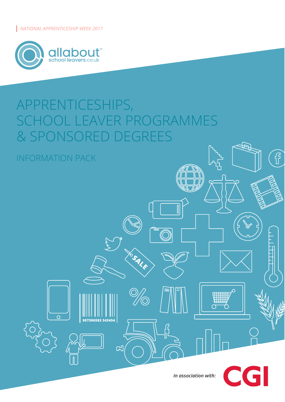*NATIONAL APPRENTICESHIP WEEK 2017*



INFORMATION PACK

 $\overline{O}$ 

# APPRENTICESHIPS, ROGRAMMES & SPONSORED DEGREES



W

つ

 $\overline{C}$ 

 $\sigma$ 

 $\overline{\mathbb{I}}$ 

YOSALE

 $\sqrt{2}$ 

的

 $\begin{pmatrix} 1 \\ 1 \end{pmatrix}$ 

জ

GI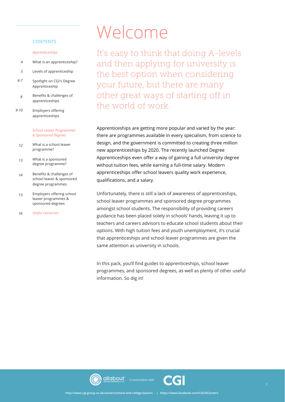#### **CONTENTS**

#### *Apprenticeships*

- What is an apprenticeship? *4*
- Levels of apprenticeship *5*
- Spotlight on CGI's Degree Apprenticeship *6-7*
- Benefits & challenges of apprenticeships *8*
- Employers offering apprenticeships *9-10*

#### *School Leaver Programmes & Sponsored Degrees*

- What is a school leaver programme? *12*
- What is a sponsored degree programme? *13*
- Benefits & challenges of school leaver & sponsored degree programmes *14*
- Employers offering school leaver programmes & sponsored degrees *15*
- *Useful resources 16*

# Welcome

It's easy to think that doing A-levels and then applying for university is the best option when considering your future, but there are many other great ways of starting off in the world of work.

Apprenticeships are getting more popular and varied by the year: there are programmes available in every specialism, from science to design, and the government is committed to creating three million new apprenticeships by 2020. The recently launched Degree Apprenticeships even offer a way of gaining a full university degree without tuition fees, while earning a full-time salary. Modern apprenticeships offer school leavers quality work experience, qualifications, and a salary.

Unfortunately, there is still a lack of awareness of apprenticeships, school leaver programmes and sponsored degree programmes amongst school students. The responsibility of providing careers guidance has been placed solely in schools' hands, leaving it up to teachers and careers advisors to educate school students about their options. With high tuition fees and youth unemployment, it's crucial that apprenticeships and school leaver programmes are given the same attention as university in schools.

In this pack, you'll find guides to apprenticeships, school leaver programmes, and sponsored degrees, as well as plenty of other useful information. So dig in!



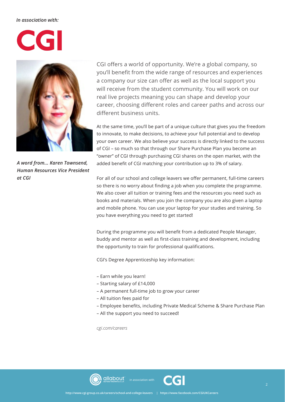#### *In association with:*

# CGI



*A word from... Karen Townsend, Human Resources Vice President at CGI*

CGI offers a world of opportunity. We're a global company, so you'll benefit from the wide range of resources and experiences a company our size can offer as well as the local support you will receive from the student community. You will work on our real live projects meaning you can shape and develop your career, choosing diferent roles and career paths and across our diferent business units.

At the same time, you'll be part of a unique culture that gives you the freedom to innovate, to make decisions, to achieve your full potential and to develop your own career. We also believe your success is directly linked to the success of CGI – so much so that through our Share Purchase Plan you become an "owner" of CGI through purchasing CGI shares on the open market, with the added benefit of CGI matching your contribution up to 3% of salary.

For all of our school and college leavers we offer permanent, full-time careers so there is no worry about finding a job when you complete the programme. We also cover all tuition or training fees and the resources you need such as books and materials. When you join the company you are also given a laptop and mobile phone. You can use your laptop for your studies and training. So you have everything you need to get started!

During the programme you will beneft from a dedicated People Manager, buddy and mentor as well as frst-class training and development, including the opportunity to train for professional qualifications.

CGI's Degree Apprenticeship key information:

- Earn while you learn!
- Starting salary of £14,000
- A permanent full-time job to grow your career
- All tuition fees paid for
- Employee benefts, including Private Medical Scheme & Share Purchase Plan
- All the support you need to succeed!

*cgi.com/careers*





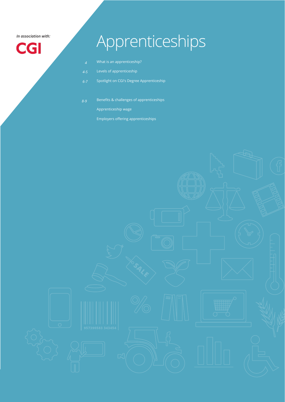*In association with:* 

**CGI** 

# Apprenticeships

- What is an apprenticeship?
- Levels of apprenticeship
- Spotlight on CGI's Degree Apprenticeship *6-7*
- Benefits & challenges of apprenticeships Apprenticeship wage *8-9*
	- Employers offering apprenticeships

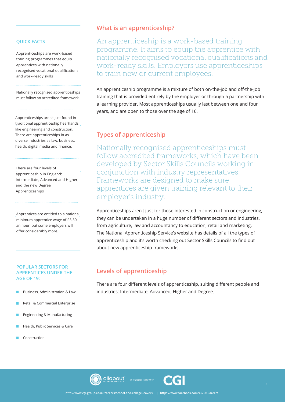#### **QUICK FACTS**

Apprenticeships are work-based training programmes that equip apprentices with nationally recognised vocational qualifcations and work-ready skills

Nationally recognised apprenticeships must follow an accredited framework.

Apprenticeships aren't just found in traditional apprenticeship heartlands, like engineering and construction. There are apprenticeships in as diverse industries as law, business, health, digital media and finance.

There are four levels of apprenticeship in England: Intermediate, Advanced and Higher, and the new Degree Apprenticeships

Apprentices are entitled to a national minimum apprentice wage of £3.30 an hour, but some employers will offer considerably more.

#### **POPULAR SECTORS FOR APPRENTICES UNDER THE AGE OF 19:**

- Business, Administration & Law
- Retail & Commercial Enterprise
- Engineering & Manufacturing
- Health, Public Services & Care
- Construction

#### **What is an apprenticeship?**

An apprenticeship is a work-based training programme. It aims to equip the apprentice with nationally recognised vocational qualifications and work-ready skills. Employers use apprenticeships to train new or current employees.

An apprenticeship programme is a mixture of both on-the-job and off-the-job training that is provided entirely by the employer or through a partnership with a learning provider. Most apprenticeships usually last between one and four years, and are open to those over the age of 16.

#### **Types of apprenticeship**

Nationally recognised apprenticeships must follow accredited frameworks, which have been developed by Sector Skills Councils working in conjunction with industry representatives. Frameworks are designed to make sure apprentices are given training relevant to their employer's industry.

Apprenticeships aren't just for those interested in construction or engineering, they can be undertaken in a huge number of different sectors and industries, from agriculture, law and accountancy to education, retail and marketing. The National Apprenticeship Service's website has details of all the types of apprenticeship and it's worth checking out Sector Skills Councils to find out about new apprenticeship frameworks.

#### **Levels of apprenticeship**

There are four different levels of apprenticeship, suiting different people and industries: Intermediate, Advanced, Higher and Degree.



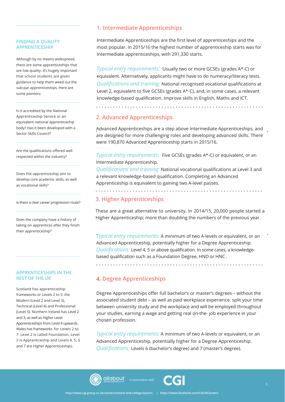#### **FINDING A QUALITY APPRENTICESHIP**

Although by no means widespread, there are some apprenticeships that are low quality. It's hugely important that school students are given guidance to help them weed out the sub-par apprenticeships. Here are some pointers:

Is it accredited by the National Apprenticeship Service or an equivalent national apprenticeship body? Has it been developed with a Sector Skills Council?

Are the qualifications offered well respected within the industry?

Does the apprenticeship aim to develop core academic skills, as well as vocational skills?

Is there a clear career progression route?

Does the company have a history of taking on apprentices after they finish their apprenticeship?

#### **APPRENTICESHIPS IN THE REST OF THE UK**

Scotland has apprenticeship frameworks or Levels 2 to 5: the Modern (Level 2 and Level 3), Technical (Level 4) and Professional (Level 5). Northern Ireland has Level 2 and 3, as well as Higher Level Apprenticeships from Level 4 upwards. Wales has frameworks for Levels 2 to 7: Level 2 is called Foundation, Level 3 is Apprenticeship and Levels 4, 5, 6 and 7 are Higher Apprenticeships.

## **1. Intermediate Apprenticeships**

Intermediate Apprenticeships are the first level of apprenticeships and the most popular. In 2015/16 the highest number of apprenticeship starts was for Intermediate apprenticeships, with 291,330 starts.

*Typical entry requirements:* Usually two or more GCSEs (grades A\*-C) or equivalent. Alternatively, applicants might have to do numeracy/literacy tests. *Qualifications and training:* National recognised vocational qualifications at Level 2, equivalent to five GCSEs (grades A\*-C), and, in some cases, a relevant knowledge-based qualification. Improve skills in English, Maths and ICT.

dia anala anala ana

### **2. Advanced Apprenticeships**

Advanced Apprenticeships are a step above Intermediate Apprenticeships, and are designed for more challenging roles and developing advanced skills. There were 190,870 Advanced Apprenticeship starts in 2015/16.

*Typical entry requirements:* Five GCSEs (grades A\*-C) or equivalent, or an Intermediate Apprenticeship.

*Qualifications and training:* National vocational qualifications at Level 3 and a relevant knowledge-based qualification. Completing an Advanced Apprenticeship is equivalent to gaining two A-level passes.

## . . . . . . . . . . . . . . . . . **3. Higher Apprenticeships**

These are a great alternative to university. In 2014/15, 20,000 people started a Higher Apprenticeship; more than doubling the numbers of the previous year.

*Typical entry requirements:* A minimum of two A-levels or equivalent, or an Advanced Apprenticeship, potentially higher for a Degree Apprenticeship. *Qualifications:* Level 4, 5 or above qualification. In some cases, a knowledgebased qualification such as a Foundation Degree, HND or HNC .

# **4. Degree Apprenticeships**

Degree Apprenticeships offer full bachelor's or master's degrees – without the associated student debt – as well as paid workplace experience. split your time between university study and the workplace and will be employed throughout your studies, earning a wage and getting real on-the- job experience in your chosen profession.

*Typical entry requirements:* A minimum of two A-levels or equivalent, or an Advanced Apprenticeship, potentially higher for a Degree Apprenticeship. *Qualifications:* Levels 6 (bachelor's degree) and 7 (master's degree).



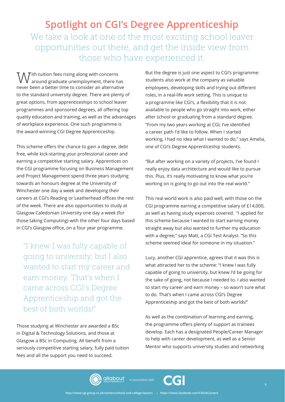# **Spotlight on CGI's Degree Apprenticeship** We take a look at one of the most exciting school leaver opportunities out there, and get the inside view from those who have experienced it.

 $\mathcal T$ ith tuition fees rising along with concerns around graduate unemployment, there has never been a better time to consider an alternative to the standard university degree. There are plenty of great options, from apprenticeships to school leaver programmes and sponsored degrees, all offering top quality education and training, as well as the advantages of workplace experience. One such programme is the award-winning CGI Degree Apprenticeship.

This scheme offers the chance to gain a degree, debt free, while kick-starting your professional career and earning a competitive starting salary. Apprentices on the CGI programme focusing on Business Management and Project Management spend three years studying towards an honours degree at the University of Winchester one day a week and developing their careers at CGI's Reading or Leatherhead offices the rest of the week. There are also opportunities to study at Glasgow Caledonian University one day a week (for those taking Computing) with the other four days based in CGI's Glasgow office, on a four year programme.

"I knew I was fully capable of going to university, but I also wanted to start my career and earn money. That's when I came across CGI's Degree Apprenticeship and got the best of both worlds!"

Those studying at Winchester are awarded a BSc in Digital & Technology Solutions, and those at Glasgow a BSc in Computing. All benefit from a seriously competitive starting salary, fully paid tuition fees and all the support you need to succeed.

But the degree is just one aspect to CGI's programme: students also work at the company as valuable employees, developing skills and trying out diferent roles, in a real-life work setting. This is unique to a programme like CGI's, a flexibility that it is not available to people who go straight into work, either after school or graduating from a standard degree. "From my two years working at CGI, I've identifed a career path I'd like to follow. When I started working, I had no idea what I wanted to do," says Amelia, one of CGI's Degree Apprenticeship students.

"But after working on a variety of projects, I've found I really enjoy data architecture and would like to pursue this. Plus, it's really motivating to know what you're working on is going to go out into the real world."

This real world work is also paid well, with those on the CGI programme earning a competitive salary of £14,000, as well as having study expenses covered. "I applied for this scheme because I wanted to start earning money straight away but also wanted to further my education with a degree," says Matt, a CGI Test Analyst. "So this scheme seemed ideal for someone in my situation."

Lucy, another CGI apprentice, agrees that it was this is what attracted her to the scheme: "I knew I was fully capable of going to university, but knew I'd be going for the sake of going, not because I needed to. I also wanted to start my career and earn money – so wasn't sure what to do. That's when I came across CGI's Degree Apprenticeship and got the best of both worlds!"

As well as the combination of learning and earning, the programme offers plenty of support as trainees develop. Each has a designated People/Career Manager to help with career development, as well as a Senior Mentor who supports university studies and networking



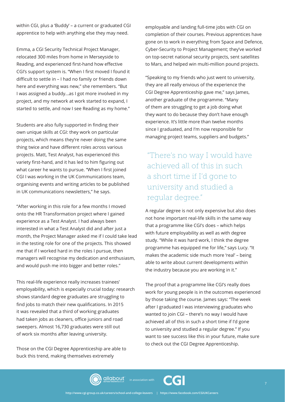within CGI, plus a 'Buddy' – a current or graduated CGI apprentice to help with anything else they may need.

Emma, a CGI Security Technical Project Manager, relocated 300 miles from home in Merseyside to Reading, and experienced frst-hand how efective CGI's support system is. "When I frst moved I found it difficult to settle in - I had no family or friends down here and everything was new," she remembers. "But I was assigned a buddy...as I got more involved in my project, and my network at work started to expand, I started to settle, and now I see Reading as my home."

Students are also fully supported in finding their own unique skills at CGI: they work on particular projects, which means they're never doing the same thing twice and have diferent roles across various projects. Matt, Test Analyst, has experienced this variety first-hand, and it has led to him figuring out what career he wants to pursue. "When I first joined CGI I was working in the UK Communications team, organising events and writing articles to be published in UK communications newsletters," he says.

"After working in this role for a few months I moved onto the HR Transformation project where I gained experience as a Test Analyst. I had always been interested in what a Test Analyst did and after just a month, the Project Manager asked me if I could take lead in the testing role for one of the projects. This showed me that if I worked hard in the roles I pursue, then managers will recognise my dedication and enthusiasm, and would push me into bigger and better roles."

This real-life experience really increases trainees' employability, which is especially crucial today: research shows standard degree graduates are struggling to find jobs to match their new qualifications. In 2015 it was revealed that a third of working graduates had taken jobs as cleaners, office juniors and road sweepers. Almost 16,730 graduates were still out of work six months after leaving university.

Those on the CGI Degree Apprenticeship are able to buck this trend, making themselves extremely

employable and landing full-time jobs with CGI on completion of their courses. Previous apprentices have gone on to work in everything from Space and Defence, Cyber-Security to Project Management; they've worked on top-secret national security projects, sent satellites to Mars, and helped win multi-million pound projects.

"Speaking to my friends who just went to university, they are all really envious of the experience the CGI Degree Apprenticeship gave me," says James, another graduate of the programme. "Many of them are struggling to get a job doing what they want to do because they don't have enough experience. It's little more than twelve months since I graduated, and I'm now responsible for managing project teams, suppliers and budgets."

"There's no way I would have achieved all of this in such a short time if I'd gone to university and studied a regular degree."

A regular degree is not only expensive but also does not hone important real-life skills in the same way that a programme like CGI's does – which helps with future employability as well as with degree study. "While it was hard work, I think the degree programme has equipped me for life," says Lucy. "It makes the academic side much more 'real' – being able to write about current developments within the industry because you are working in it."

The proof that a programme like CGI's really does work for young people is in the outcomes experienced by those taking the course. James says: "The week after I graduated I was interviewing graduates who wanted to join CGI – there's no way I would have achieved all of this in such a short time if I'd gone to university and studied a regular degree." If you want to see success like this in your future, make sure to check out the CGI Degree Apprenticeship.



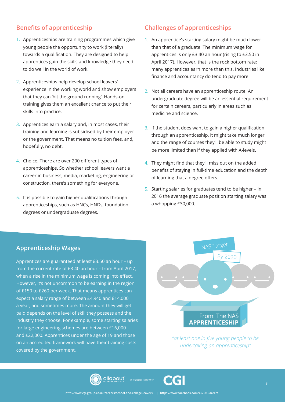# **Benefits of apprenticeship**

- 1. Apprenticeships are training programmes which give young people the opportunity to work (literally) towards a qualification. They are designed to help apprentices gain the skills and knowledge they need to do well in the world of work.
- 2. Apprenticeships help develop school leavers' experience in the working world and show employers that they can 'hit the ground running'. Hands-on training gives them an excellent chance to put their skills into practice.
- 3. Apprentices earn a salary and, in most cases, their training and learning is subsidised by their employer or the government. That means no tuition fees, and, hopefully, no debt.
- 4. Choice. There are over 200 different types of apprenticeships. So whether school leavers want a career in business, media, marketing, engineering or construction, there's something for everyone.
- 5. It is possible to gain higher qualifications through apprenticeships, such as HNCs, HNDs, foundation degrees or undergraduate degrees.

## **Challenges of apprenticeships**

- 1. An apprentice's starting salary might be much lower than that of a graduate. The minimum wage for apprentices is only £3.40 an hour (rising to £3.50 in April 2017). However, that is the rock bottom rate; many apprentices earn more than this. Industries like finance and accountancy do tend to pay more.
- 2. Not all careers have an apprenticeship route. An undergraduate degree will be an essential requirement for certain careers, particularly in areas such as medicine and science.
- 3. If the student does want to gain a higher qualification through an apprenticeship, it might take much longer and the range of courses they'll be able to study might be more limited than if they applied with A-levels.
- 4. They might find that they'll miss out on the added benefits of staying in full-time education and the depth of learning that a degree offers.
- 5. Starting salaries for graduates tend to be higher in 2016 the average graduate position starting salary was a whopping £30,000.

# **Apprenticeship Wages**

Apprentices are guaranteed at least £3.50 an hour – up from the current rate of £3.40 an hour – from April 2017, when a rise in the minimum wage is coming into effect. However, it's not uncommon to be earning in the region of £150 to £260 per week. That means apprentices can expect a salary range of between £4,940 and £14,000 a year, and sometimes more. The amount they will get paid depends on the level of skill they possess and the industry they choose. For example, some starting salaries for large engineering schemes are between £16,000 and £22,000. Apprentices under the age of 19 and those on an accredited framework will have their training costs covered by the government.



*"at least one in five young people to be undertaking an apprenticeship"*



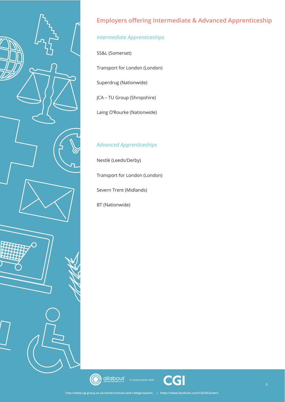

# **Employers offering Intermediate & Advanced Apprenticeship**

# *Intermediate Apprenticeships*

SS&L (Somerset)

Transport for London (London)

Superdrug (Nationwide)

JCA – TU Group (Shropshire)

Laing O'Rourke (Nationwide)

# *Advanced Apprenticeships*

Nestlé (Leeds/Derby)

Transport for London (London)

Severn Trent (Midlands)

BT (Nationwide)



(C

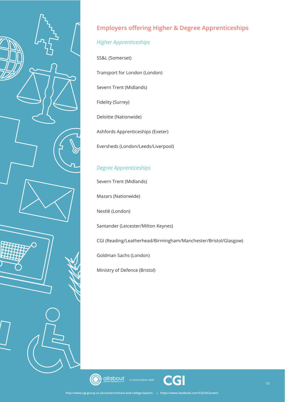

# **Employers offering Higher & Degree Apprenticeships**

# *Higher Apprenticeships*

SS&L (Somerset)

Transport for London (London)

Severn Trent (Midlands)

Fidelity (Surrey)

Deloitte (Nationwide)

Ashfords Apprenticeships (Exeter)

Eversheds (London/Leeds/Liverpool)

# *Degree Apprenticeships*

Severn Trent (Midlands)

Mazars (Nationwide)

Nestlé (London)

Santander (Leicester/Milton Keynes)

CGI (Reading/Leatherhead/Birmingham/Manchester/Bristol/Glasgow)

Goldman Sachs (London)

Ministry of Defence (Bristol)





in association with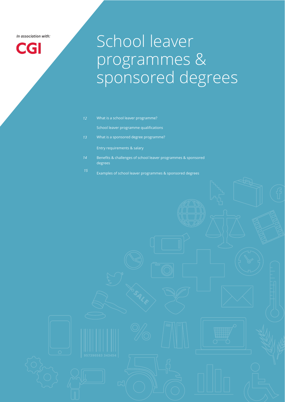*In association with:* 

# **CGI**

# School leaver programmes & sponsored degrees

What is a school leaver programme?

School leaver programme qualifications

What is a sponsored degree programme?

Entry requirements & salary

- Benefts & challenges of school leaver programmes & sponsored degrees
- Examples of school leaver programmes & sponsored degrees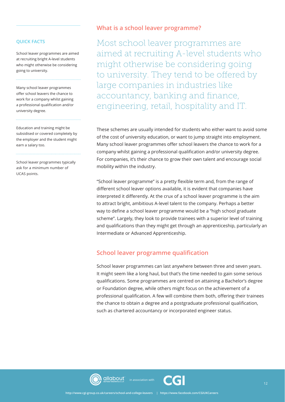#### **QUICK FACTS**

School leaver programmes are aimed at recruiting bright A-level students who might otherwise be considering going to university.

Many school leaver programmes offer school leavers the chance to work for a company whilst gaining a professional qualification and/or university degree.

Education and training might be subsidised or covered completely by the employer and the student might earn a salary too.

School leaver programmes typically ask for a minimum number of UCAS points.

#### **What is a school leaver programme?**

Most school leaver programmes are aimed at recruiting A-level students who might otherwise be considering going to university. They tend to be ofered by large companies in industries like accountancy, banking and finance, engineering, retail, hospitality and IT.

These schemes are usually intended for students who either want to avoid some of the cost of university education, or want to jump straight into employment. Many school leaver programmes offer school leavers the chance to work for a company whilst gaining a professional qualification and/or university degree. For companies, it's their chance to grow their own talent and encourage social mobility within the industry.

"School leaver programme" is a pretty fexible term and, from the range of diferent school leaver options available, it is evident that companies have interpreted it diferently. At the crux of a school leaver programme is the aim to attract bright, ambitious A-level talent to the company. Perhaps a better way to defne a school leaver programme would be a "high school graduate scheme". Largely, they look to provide trainees with a superior level of training and qualifcations than they might get through an apprenticeship, particularly an Intermediate or Advanced Apprenticeship.

#### **School leaver programme qualification**

School leaver programmes can last anywhere between three and seven years. It might seem like a long haul, but that's the time needed to gain some serious qualifcations. Some programmes are centred on attaining a Bachelor's degree or Foundation degree, while others might focus on the achievement of a professional qualification. A few will combine them both, offering their trainees the chance to obtain a degree and a postgraduate professional qualifcation, such as chartered accountancy or incorporated engineer status.



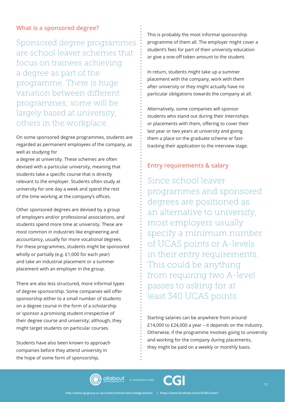### **What is a sponsored degree?**

Sponsored degree programmes are school leaver schemes that focus on trainees achieving a degree as part of the programme. There is huge variation between diferent programmes; some will be largely based at university, others in the workplace.

On some sponsored degree programmes, students are regarded as permanent employees of the company, as well as studying for

a degree at university. These schemes are often devised with a particular university, meaning that students take a specific course that is directly relevant to the employer. Students often study at university for one day a week and spend the rest of the time working at the company's offices.

Other sponsored degrees are devised by a group of employers and/or professional associations, and students spend more time at university. These are most common in industries like engineering and accountancy, usually for more vocational degrees. For these programmes, students might be sponsored wholly or partially (e.g. £1,000 for each year) and take an industrial placement or a summer placement with an employer in the group.

There are also less structured, more informal types of degree sponsorship. Some companies will offer sponsorship either to a small number of students on a degree course in the form of a scholarship or sponsor a promising student irrespective of their degree course and university; although, they might target students on particular courses.

Students have also been known to approach companies before they attend university in the hope of some form of sponsorship.

This is probably the most informal sponsorship programme of them all. The employer might cover a student's fees for part of their university education or give a one-off token amount to the student.

In return, students might take up a summer placement with the company, work with them after university or they might actually have no particular obligations towards the company at all.

Alternatively, some companies will sponsor students who stand out during their internships or placements with them, offering to cover their last year or two years at university and giving them a place on the graduate scheme or fasttracking their application to the interview stage.

#### **Entry requirements & salary**

Since school leaver programmes and sponsored degrees are positioned as an alternative to university, most employers usually specify a minimum number of UCAS points or A-levels in their entry requirements. This could be anything from requiring two A-level passes to asking for at least 340 UCAS points.

Starting salaries can be anywhere from around £14,000 to £24,000 a year – it depends on the industry. Otherwise, if the programme involves going to university and working for the company during placements, they might be paid on a weekly or monthly basis.





in association with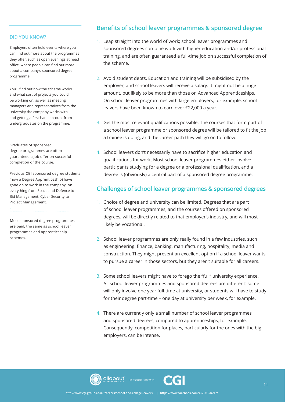#### **DID YOU KNOW?**

Employers often hold events where you can find out more about the programmes they offer, such as open evenings at head office, where people can find out more about a company's sponsored degree programme.

You'll fnd out how the scheme works and what sort of projects you could be working on, as well as meeting managers and representatives from the university the company works with and getting a first-hand account from undergraduates on the programme.

Graduates of sponsored degree programmes are often guaranteed a job offer on succesful completion of the course.

Previous CGI sponsored degree students (now a Degree Apprenticeship) have gone on to work in the company, on everything from Space and Defence to Bid Management, Cyber-Security to Project Management.

Most sponsored degree programmes are paid, the same as school leaver programmes and apprenticeship schemes.

#### **Benefits of school leaver programmes & sponsored degree**

- 1. Leap straight into the world of work; school leaver programmes and sponsored degrees combine work with higher education and/or professional training, and are often guaranteed a full-time job on successful completion of the scheme.
- 2. Avoid student debts. Education and training will be subsidised by the employer, and school leavers will receive a salary. It might not be a huge amount, but likely to be more than those on Advanced Apprenticeships. On school leaver programmes with large employers, for example, school leavers have been known to earn over £22,000 a year.
- 3. Get the most relevant qualifcations possible. The courses that form part of a school leaver programme or sponsored degree will be tailored to fit the job a trainee is doing, and the career path they will go on to follow.
- 4. School leavers don't necessarily have to sacrifce higher education and qualifcations for work. Most school leaver programmes either involve participants studying for a degree or a professional qualifcation, and a degree is (obviously) a central part of a sponsored degree programme.

#### **Challenges of school leaver programmes & sponsored degrees**

- 1. Choice of degree and university can be limited. Degrees that are part of school leaver programmes, and the courses offered on sponsored degrees, will be directly related to that employer's industry, and will most likely be vocational.
- 2. School leaver programmes are only really found in a few industries, such as engineering, finance, banking, manufacturing, hospitality, media and construction. They might present an excellent option if a school leaver wants to pursue a career in those sectors, but they aren't suitable for all careers.
- 3. Some school leavers might have to forego the "full" university experience. All school leaver programmes and sponsored degrees are diferent: some will only involve one year full-time at university, or students will have to study for their degree part-time – one day at university per week, for example.
- 4. There are currently only a small number of school leaver programmes and sponsored degrees, compared to apprenticeships, for example. Consequently, competition for places, particularly for the ones with the big employers, can be intense.



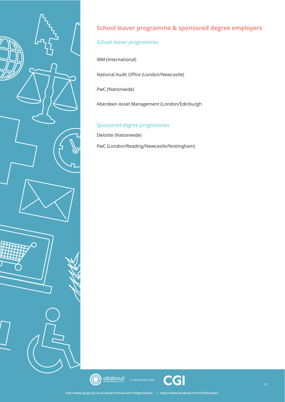

# **School leaver programme & sponsored degree employers**

# *School leaver programmes*

IBM (International)

National Audit Office (London/Newcastle)

PwC (Nationwide)

Aberdeen Asset Management (London/Edinburgh

# *Sponsored degree programmes*

Deloitte (Nationwide)

PwC (London/Reading/Newcastle/Nottingham)